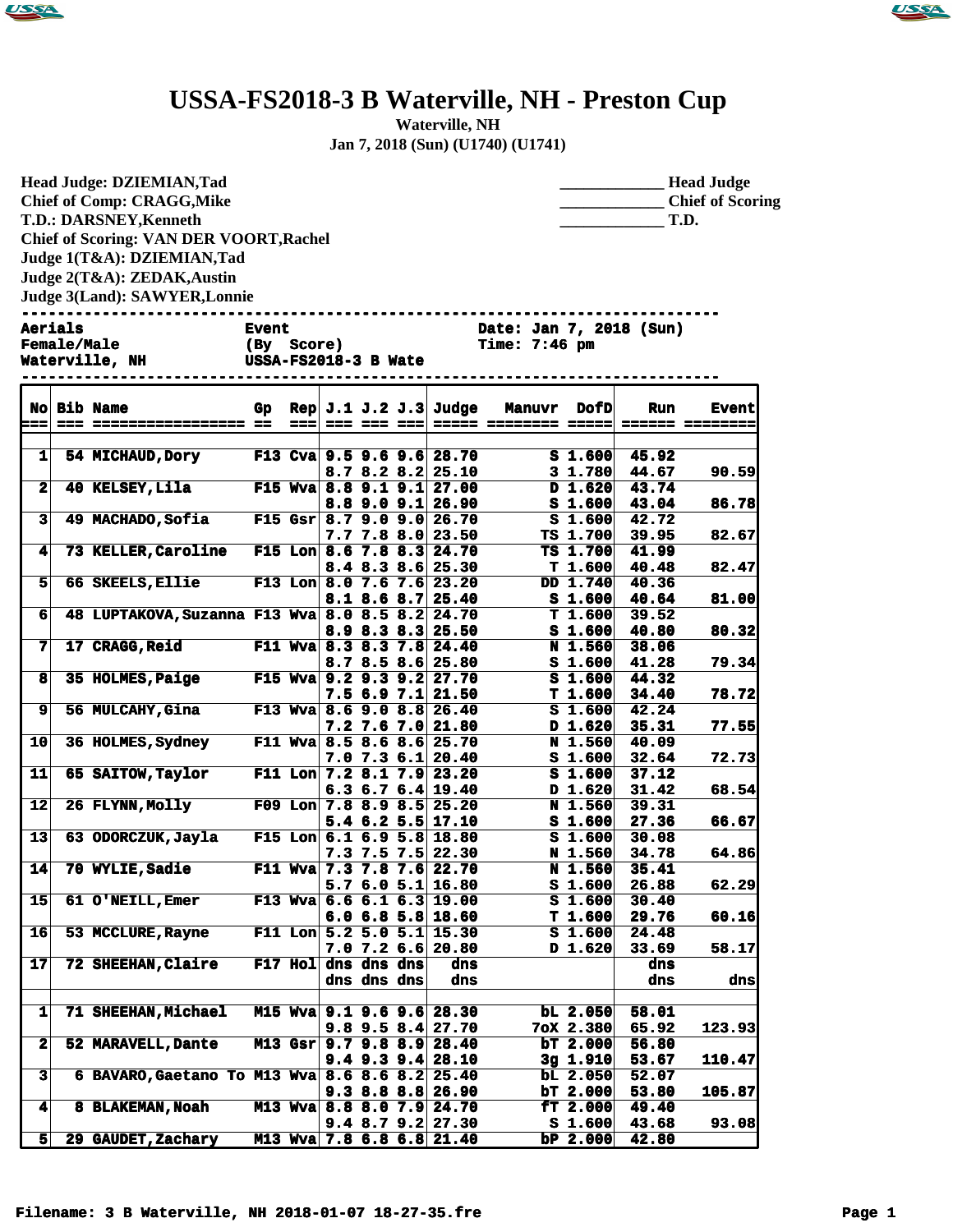



## **USSA-FS2018-3 B Waterville, NH - Preston Cup**

**Waterville, NH Jan 7, 2018 (Sun) (U1740) (U1741)**

**Head Judge: DZIEMIAN,Tad Chief of Comp: CRAGG,Mike T.D.: DARSNEY,Kenneth Chief of Scoring: VAN DER VOORT,Rachel Judge 1(T&A): DZIEMIAN,Tad Judge 2(T&A): ZEDAK,Austin Judge 3(Land): SAWYER,Lonnie** 

| <b>Head Judge</b>       |
|-------------------------|
| <b>Chief of Scoring</b> |
| T.D.                    |

**------------------------------------------------------------------------------ Aerials Event Date: Jan 7, 2018 (Sun)**

| <b>Female/Male</b><br><b>Waterville, NH</b><br>-------- | (By Score)<br>USSA-FS2018-3 B Wate |
|---------------------------------------------------------|------------------------------------|
|                                                         |                                    |
|                                                         |                                    |

**Female/Male (By Score) Time: 7:46 pm ------------------------------------------------------------------------------**

|                         | No Bib Name                                     | Gp |      |                     |             | Rep $J.1 J.2 J.3$ Judge                               | <b>Manuvr</b>        | <b>DofD</b>        | <b>Run</b>     | <b>Event</b>           |
|-------------------------|-------------------------------------------------|----|------|---------------------|-------------|-------------------------------------------------------|----------------------|--------------------|----------------|------------------------|
| ---                     |                                                 |    | $==$ |                     | === === === |                                                       | ===== ======== ===== |                    |                | <b>====== ========</b> |
|                         |                                                 |    |      |                     |             |                                                       |                      |                    |                |                        |
| 1                       | 54 MICHAUD, Dory                                |    |      |                     |             | F13 Cva 9.5 9.6 9.6 28.70                             |                      | S <sub>1.600</sub> | 45.92          |                        |
|                         |                                                 |    |      |                     |             | $8.7$ $8.2$ $8.2$ $25.10$                             |                      | $3 \; 1.780$       | 44.67          | 90.59                  |
| $\overline{\mathbf{2}}$ | 40 KELSEY, Lila                                 |    |      |                     |             | F15 Wva 8.8 9.1 9.1 27.00                             |                      | D 1.620            | 43.74          |                        |
|                         |                                                 |    |      |                     |             | $8.8$ 9.0 9.1 26.90                                   |                      | S <sub>1.600</sub> | 43.04          | 86.78                  |
| 3                       | <b>49 MACHADO, Sofia</b>                        |    |      |                     |             | F15 Gsr $8.7$ 9.0 9.0 26.70                           |                      | S <sub>1.600</sub> | 42.72          |                        |
|                         |                                                 |    |      |                     |             | $7.7$ $7.8$ $8.0$ 23.50                               |                      | TS 1.700           | 39.95          | 82.67                  |
| $\blacktriangleleft$    | 73 KELLER, Caroline                             |    |      |                     |             | F15 Lon 8.6 7.8 8.3 24.70                             |                      | TS 1.700           | 41.99          |                        |
|                         |                                                 |    |      |                     |             | $8.4$ $8.3$ $8.6$ 25.30                               |                      | T 1.600            | 40.48          | 82.47                  |
| 5 <sup>1</sup>          | 66 SKEELS, Ellie                                |    |      |                     |             | F13 Lon 8.0 7.6 7.6 23.20                             |                      | DD 1.740           | 40.36          |                        |
|                         |                                                 |    |      |                     |             | $8.1$ $8.6$ $8.7$ $25.40$                             |                      | S <sub>1.600</sub> | 40.64          | 81.00                  |
| 6                       | 48 LUPTAKOVA, Suzanna F13 Wva 8.0 8.5 8.2 24.70 |    |      |                     |             |                                                       |                      | T 1.600            | 39.52          |                        |
|                         |                                                 |    |      |                     |             | 8.9 8.3 8.3 25.50                                     |                      | S <sub>1.600</sub> | 40.80          | 80.32                  |
| 7                       | 17 CRAGG, Reid                                  |    |      |                     |             | F11 Wva 8.3 8.3 7.8 24.40                             |                      | <b>N</b> 1.560     | 38.06          |                        |
|                         |                                                 |    |      |                     |             | $8.78.58.6$ 25.80                                     |                      | $S_1.600$          | 41.28          | 79.34                  |
| 8                       | 35 HOLMES, Paige                                |    |      |                     |             | F15 Wva 9.2 9.3 9.2 27.70                             |                      | S <sub>1.600</sub> | 44.32          |                        |
|                         |                                                 |    |      |                     |             | $7.5$ 6.9 7.1 21.50                                   |                      | T 1.600            | 34.40          | 78.72                  |
| 9                       | 56 MULCAHY, Gina                                |    |      |                     |             | F13 Wva 8.6 9.0 8.8 26.40                             |                      | S <sub>1.600</sub> | 42.24          |                        |
|                         |                                                 |    |      |                     |             | $7.2$ 7.6 7.0 21.80                                   |                      | D 1.620            | 35.31          | 77.55                  |
| 10                      | 36 HOLMES, Sydney                               |    |      |                     |             | F11 Wva 8.5 8.6 8.6 25.70                             |                      | <b>N</b> 1.560     | 40.09          |                        |
| 11                      |                                                 |    |      |                     |             | $7.0$ $7.3$ $6.1$ 20.40                               |                      | S <sub>1.600</sub> | 32.64          | 72.73                  |
|                         | 65 SAITOW, Taylor                               |    |      |                     |             | F11 Lon $7.2$ 8.1 $7.9$ 23.20                         |                      | S <sub>1.600</sub> | 37.12          |                        |
| 12                      | 26 FLYNN, Molly                                 |    |      |                     |             | $6.3\,6.7\,6.4\,19.40$<br>F09 Lon $7.8$ 8.9 8.5 25.20 |                      | D 1.620<br>N 1.560 | 31.42<br>39.31 | 68.54                  |
|                         |                                                 |    |      |                     |             | $5.4$ 6.2 5.5 17.10                                   |                      | S <sub>1.600</sub> | 27.36          | 66.67                  |
| 13                      | 63 ODORCZUK, Jayla                              |    |      |                     |             | F15 Lon $6.1$ $6.9$ 5.8 18.80                         |                      | S <sub>1.600</sub> | 30.08          |                        |
|                         |                                                 |    |      |                     |             | $7.3$ $7.5$ $7.5$ 22.30                               |                      | <b>N</b> 1.560     | 34.78          | 64.86                  |
| 14                      | 70 WYLIE, Sadie                                 |    |      |                     |             | F11 Wva $7.3$ 7.8 7.6 22.70                           |                      | N 1.560            | 35.41          |                        |
|                         |                                                 |    |      |                     |             | 5.76.05.116.80                                        |                      | $S$ 1.600          | 26.88          | 62.29                  |
| 15                      | 61 O'NEILL, Emer                                |    |      |                     |             | F13 Wva $6.6$ 6.1 6.3 19.00                           |                      | S <sub>1.600</sub> | 30.40          |                        |
|                         |                                                 |    |      |                     |             | 6.06.85.818.60                                        |                      | T 1.600            | 29.76          | 60.16                  |
| 16                      | 53 MCCLURE, Rayne                               |    |      |                     |             | F11 Lon $5.2$ 5.0 5.1 15.30                           |                      | S <sub>1.600</sub> | 24.48          |                        |
|                         |                                                 |    |      |                     |             | $7.0$ $7.2$ $6.6$ 20.80                               |                      | D 1.620            | 33.69          | 58.17                  |
| 17                      | <b>72 SHEEHAN, Claire</b>                       |    |      | F17 Hol dns dns dns |             | dns                                                   |                      |                    | dns            |                        |
|                         |                                                 |    |      |                     | dns dns dns | dns                                                   |                      |                    | dns            | dns                    |
|                         |                                                 |    |      |                     |             |                                                       |                      |                    |                |                        |
| 1                       | <b>71 SHEEHAN, Michael</b>                      |    |      |                     |             | M15 Wva 9.1 9.6 9.6 28.30                             |                      | $bL$ 2.050         | 58.01          |                        |
|                         |                                                 |    |      |                     |             | $9.8$ $9.5$ $8.4$ 27.70                               |                      | 7oX 2.380          | 65.92          | 123.93                 |
| 2                       | 52 MARAVELL, Dante                              |    |      |                     |             | M13 Gsr 9.7 9.8 8.9 28.40                             |                      | bT 2.000           | 56.80          |                        |
|                         |                                                 |    |      |                     |             | $9.4$ $9.3$ $9.4$ $28.10$                             |                      | $3q$ 1.910         | 53.67          | 110.47                 |
| $\overline{\mathbf{3}}$ | 6 BAVARO, Gaetano To M13 Wva 8.6 8.6 8.2 25.40  |    |      |                     |             |                                                       |                      | $bL$ 2.050         | 52.07          |                        |
|                         |                                                 |    |      |                     |             | $9.3$ 8.8 8.8 26.90                                   |                      | $bT$ 2.000         | 53.80          | 105.87                 |
| 4                       | <b>8 BLAKEMAN, Noah</b>                         |    |      |                     |             | M13 Wva 8.8 8.0 7.9 24.70                             |                      | ET 2.000           | 49.40          |                        |
|                         |                                                 |    |      |                     |             | $9.4$ 8.7 $9.2$ 27.30                                 |                      | $S$ 1.600          | 43.68          | 93.08                  |
| 5                       | 29 GAUDET, Zachary                              |    |      |                     |             | M13 Wva 7.8 6.8 6.8 21.40                             |                      | $bP 2.000$         | 42.80          |                        |